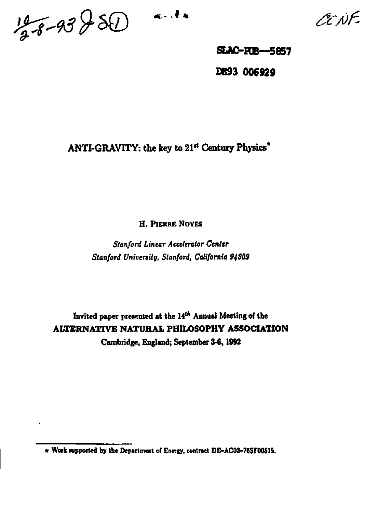$1978 - 9380$ 

 $C$ r NF

**SAC-HB—5857** 

**DB93 006929** 

## **ANTI-GRAVITY: the key to 21<sup>** $\pi$ **</sup> Century Physics"**

**H. PIERRE NOYES** 

*Stanford Linear Accelerator Center Stanford University, Stanford, California 94S09* 

**Invited paper presented at the 14\*\* Annual Meeting of the ALTERNATIVE NATURAL PHILOSOPHY ASSOCIATION Cambridge, England; September 3-6, 1992** 

**<sup>\*</sup> Work nipported by the Deputment of Energy, contract DE-ACOJ-7oSF0tol5.**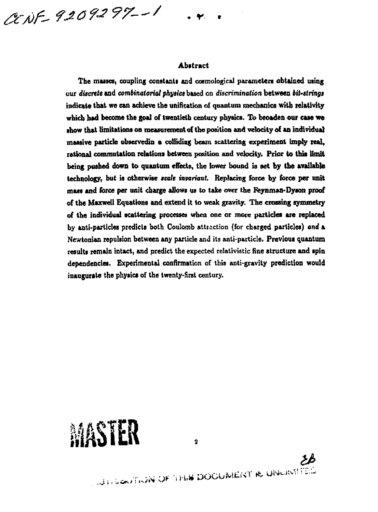#### **Abstract**

**The masses, coupling constants and cosmological parameters obtained using**  our *discrete* and *combinatorial physics* based on *discrimination* between *bit-strings* **indicate that we can achieve the unification of quantum mechanics with relativity which had become the goal of twentieth century physics. To broaden our case we show that limitations on measurement of the position and velocity of an individual massive particle observedin a colliding beam scattering experiment imply real, rational commutation relations between position and velocity. Prior to this limit being pushed down to quantum effects, the lower bound is set by the available technology, but is otherwise** *scale invariant* **Replacing force by force per unit mass and force per unit charge allows us to take over the Feynman-Dyson proof of the Maxwell Equations and extend it to weak gravity. The crossing symmetry of the individual scattering processes when one or more particles are replaced by anti-particles predicts both Coulomb &Ui action (for charged particles)** *and* **a Newtonian repulsion between any particle and its anti-particle. Previous quantum results remain intact, and predict the expected relativistic fine structure and spin dependencies. Experimental confirmation of this anti-gravity prediction would inaugurate the physics of the twenty-first century.** 



*^jd^f-tof-\*<sup>9</sup> ?—'* 

*,£\*•>*  v;w yf *-•* >•!•\* DOCUMENT \*. uw^-v: *•.:.-*

طخ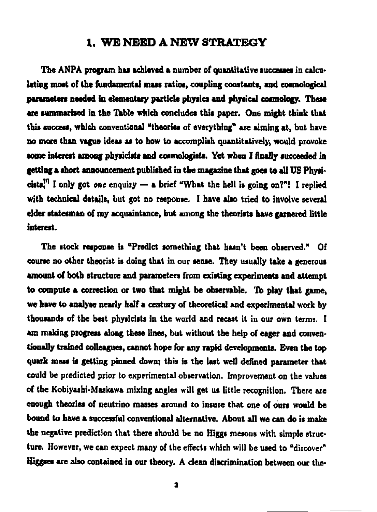### **1. WE NEED A NEW STRATEGY**

The ANPA program has achieved a number of quantitative successes in calculating most of the fundamental mass ratios, coupling constants, and cosmological **parameters needed in elementary particle physics and physical cosmology. These are summarized in the Table which concludes this paper. One might think that this success, which conventional "theories of everything" are aiming at, but have no more than vague ideas as to how to accomplish quantitatively, would provoke some interest among physicists and cosmologists. Yet when I finally succeeded in getting a short announcement published in the magazine that goes to all US Physicists.**<sup>11</sup> I only got one enquiry  $-$  a brief "What the hell is going on?"! I replied **with technical details, but got no response. I have also tried to involve several**  elder statesman of my acquaintance, but among the theorists have garnered little **interest.** 

**The stock response is "Predict something that hasn't been observed." Of course no other theorist is doing that in our sense. They usually take a generous amount of both structure and parameters from existing experiments and attempt to compute a correction or two that might be observable. To play that game, we have to analyse nearly half a century of theoretical and experimental work by thousands of the best physicists in the world and recast it in our own terms. I am making progress along these lines, but without the help of eager and conventionally trained colleagues, cannot hope for any rapid developments. Even the top quark mass is getting pinned down; this is the last well defined parameter that could be predicted prior to experimental observation. Improvement on the values of the Kobiyashi-Mukawa mixing angles will get us little recognition. There are enough theories of neutrino masses around to insure that one of burs would be bound to have a successful conventional alternative. About all we can do is make the negative prediction that there should be no Higgs mesons with simple structure. However, we can expect many of the effects which will be used to "discover" Higgses are also contained in our theory. A clean discrimination between our the-**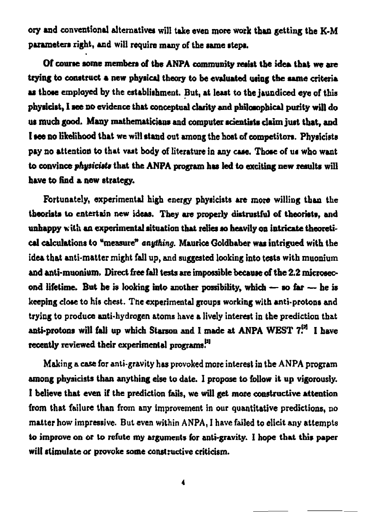ory and conventional alternatives will take even more work than getting the K-M parameters right, and will require many of the same steps.

**Of course some members of the ANPA community resist the idea that we are trying to construct a new physical theory to be evaluated using the same criteria as those employed by the establishment. But, at least to the jaundiced eye of this physicist, I see no evidence that conceptual clarity and philosophical purity will do us much good. Many mathematicians and computer scientists claim just that, and ! tee no likelihood that we will stand out among the host of competitors. Physicists pay no attention to that vast body of literature in any case. Those of us who want**  to convince *physicists* that the ANPA program has led to exciting new results will **have to find a new strategy.** 

**Fortunately, experimental high energy physicists are more willing than the theorists to entertain new ideas. They are properly distrustful of theorists, and unhappy with an experimental situation that relies so heavily on intricate theoretical calculations to "measure\*\*** *anything.* **Maurice Goldhaber was intrigued with the idea that anti-matter might fall up, and suggested looking into tests with muonium and anti-muonium, Direct free fall tests are impossible because of the 2.2 microsecond lifetime. But be is looking into another possibility, which — so far — be is keeping close to his chest. Tne experimental groups working with anti-protons and trying to produce anti-hydrogen atoms have a lively interest in the prediction that anti'protons will fall up which Starson and I made at ANPA WEST 7.<sup>W</sup> I have recently reviewed their experimental programs!<sup>11</sup>**

**Making & case for anti-gravity has provoked more interest in the ANPA program among physicists than anything else to date. I propose to follow it up vigorously. I believe that even if the prediction fails, we will get more constructive attention from that failure than from any improvement in our quantitative predictions, no matter how impressive. But even within ANPA, I have failed to elicit any attempts to improve on or to refute my arguments for anti-gravity. I hope that this paper will stimulate or provoke some constructive criticism.**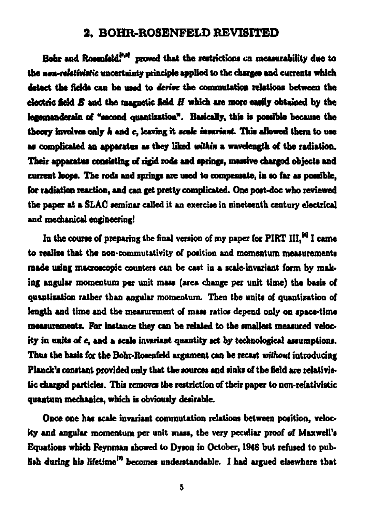## **2. BOHR-ROSENFELD REVISITED**

**Bohr and Itosenfeld!'''<sup>1</sup> proved that the restrictions ca measurability due to**  the nen-relativistic uncertainty principle applied to the charges and currents which detect the fields can be used to derive the commutation relations between the electric field  $\boldsymbol{E}$  and the magnetic field  $\boldsymbol{H}$  which are more easily obtained by the legemenderain of "second quantization". Basically, this is possible because the theory involves only *h* and *c*, leaving it *scale* invariant. This allowed them to use **as complicated an apparatus a\* they liked** *within* **» wavelength of the radiation. Their apparatus consisting of rigid rods and springs, massive charged objects and**  current loops. The rods and springs are used to compensate, in so far as possible, for radiation reaction, and can get pretty complicated. One post-doc who reviewed **the paper at a SLAC seminar called it an exercise in nineteenth century electrical and mechanical engineering!** 

**In the course of preparing the final version of my paper for PIRT III,<sup>M</sup> I came**  to realize that the non-commutativity of position and momentum measurements **made using macroscopic counters can be cast in a scale-invariant form by male\* ing angular momentum per unit mass (area change per unit time) the basis of quantisation rather than angular momentum. Then the unit\* of quantisation of length and time and the measurement of mass ratios depend only on space-time measurements. For instance they can be related to the smallest measured vetecity in units of e, and a scale invariant quantity set by technological assumptions. Thus the basis for the Bohr-Rosenfeld argument can be recast** *without* **introducing**  Planck's constant provided only that the sources and sinks of the field are relativis**tic charged particles. This removes the restriction of their paper to non-ielativistic quantum mechanics, which is obviously desirable.** 

**Once one has scale invariant commutation relations between position, veloc\* ity and angular momentum per unit mass, the very peculiar proof of Maxwell's**  Equations which Feynman showed to Dyson in October, 1948 but refused to pub**lish during his lifetime<sup>1</sup> " becomes understandable. I had argued elsewhere that**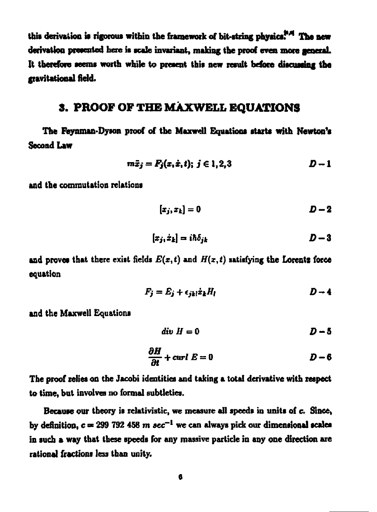**this derivation is rigorous within the framework of bit-string physics. The new derivation prevented here it scale invariant, making the proof even more generaL**  It therefore seems worth while to present this new result before discussing the **gravitational field.** 

## **3. PROOF OF THE MAXWELL EQUATIONS**

The Feynman-Dyson proof of the Maxwell Equations starts with Newton's **Second Law** 

$$
m\bar{x}_j = F_j(x, \dot{x}, t); j \in 1, 2, 3
$$

**and the commutation relation!** 

$$
[x_j, x_k] = 0 \qquad D-2
$$

$$
[x_j, \dot{x}_k] = i\hbar \delta_{jk} \qquad D-3
$$

and proves that there exist fields  $E(x,t)$  and  $H(x,t)$  satisfying the Lorentz force **equation** 

$$
F_j = E_j + \epsilon_{jkl} \dot{x}_k H_l \qquad D-4
$$

**and the Maxwell Equations** 

$$
div H = 0 \t\t D-5
$$

$$
\frac{\partial H}{\partial t} + \text{curl } E = 0 \qquad D - 6
$$

**The proof relies on the Jacobi identities and taking a total derivative with respect to time, but involves no formal subtleties.** 

Because our theory is relativistic, we measure all speeds in units of c. Since, **by definition, e =\* 299 792 458 m** *sce~<sup>l</sup>*  **we can always pick our dimensional scales in such a way that these speeds for any massive particle in any one direction are**  rational fractions less than unity.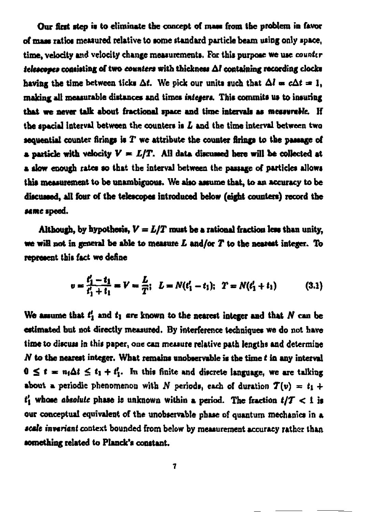**Our first step is to eliminate the concept of maw from tbe problem in favor of mass ratios measured relative to some standard particle beam using only space, time, velocity and velocity change measurements. For this purpose we use counter leJescope\* consisting of two** *counter\** **with thickness Af containing recording clocks having the time between ticks**  $\Delta t$ **. We pick our units such that**  $\Delta l = c\Delta t = 1$ **, making all measurable distances and times iftiejers. This commits us to insuring**  that we never talk about fractional space and time intervals as measurable. If **the apacial Interval between the counters is** *L* **and the time interval between two sequential counter firings is** *T* **we attribute the counter firings to the passage of a particle with velocity**  $V = L/T$ . All data discussed here will be collected at **a slow enough rates so that the interval between the passage of particles allows**  this measurement to be unambiguous. We also assume that, to an accuracy to be **discussed, all four of the telescopes introduced below (eight counters) record the same speed.** 

Although, by hypothesis,  $V = L/T$  must be a rational fraction less than unity, **we will not in general be able to measure** *L* **and/or 7 to the neatest integer, lb represent this fact we define** 

$$
v = \frac{t'_1 - t_1}{t'_1 + t_1} = V = \frac{L}{T}; \quad L = N(t'_1 - t_1); \quad T = N(t'_1 + t_1) \tag{3.1}
$$

We assume that  $t'_1$  and  $t_1$  are known to the nearest integer and that  $N$  can be **estimated but not directly measured. By interference techniques we do not have time to discuss in this paper, one can measure relative path lengths and determine**  *N* **to the nearest integer. What remains unobservable is the time** *t* **in any interval**   $0 \leq t = n_1 \Delta t \leq t_1 + t_1'.$  In this finite and discrete language, we are talking **about a periodic phenomenon with N periods, each of duration**  $T(v) = t_1 +$  $t_1'$  whose absolute phase is unknown within a period. The fraction  $t/T < 1$  is **our conceptual equivalent of the unobservable phase of quantum mechanics in a**  *state* **invariant context bounded from below by measurement accuracy rather than something related to Planck's constant.**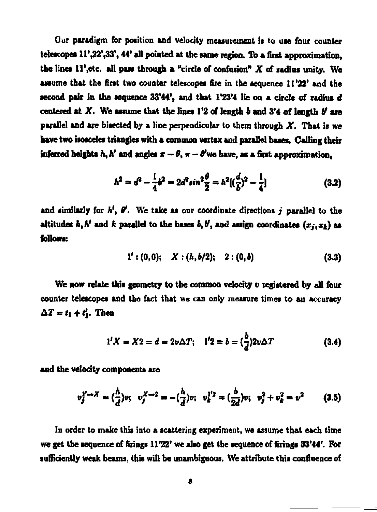Gur paradigm for position and velocity measurement is to use four counter telescopes 11',22',33', 44' all pointed at the same region. To a first approximation, **the lines ll',etc. all paw through a "circle of confusion"** *X* **of radius unity, We assume that the first two counter telescopes fire in the sequence 11\*22' and the second pair in the sequence 33\*44\*, and that 1'23\*4 lie on a circle of radius** *d*  **centered at** *X.* **We assume that the lines 1\*2 of length 6 and 3\*4 of length** *If* **are parallel and are bisected by a line perpendicular to them through** *X.* **That is we have two isosceles triangles with a common vertex and parallel bases. Calling their**  inferred heights  $h, h'$  and angles  $\pi - \theta$ ,  $\pi - \theta'$  we have, as a first approximation,

$$
h^2 = d^2 - \frac{1}{4}b^2 = 2d^2\sin^2\frac{\theta}{2} = h^2[(\frac{d}{b})^2 - \frac{1}{4}]
$$
 (3.2)

**and similarly for**  $h'$ **,**  $\theta'$ **.** We take as our coordinate directions *j* parallel to the altitudes  $\hat{h}_i \hat{h}^i$  and  $k$  parallel to the bases  $b_i, b'_i$ , and assign coordinates  $(x_i, x_k)$  as **follows:** 

$$
1': (0,0); \quad X:(h,b/2); \quad 2:(0,b) \tag{3.3}
$$

**We now relate this geometry to the common velocity** *v* **registered by all four counter telescopes and the fact that we can only measure times to au accuracy**   $\Delta T = t_1 + t'_1$ . Then

$$
1'X = X2 = d = 2\nu\Delta T; \quad 1'2 = b = (\frac{b}{d})2\nu\Delta T
$$
 (3.4)

**and the velocity components are** 

$$
v_j^{1'-X} = \left(\frac{h}{d}\right)v; \quad v_j^{X \to 2} = -\left(\frac{h}{d}\right)v; \quad v_k^{1/2} = \left(\frac{b}{2d}\right)v; \quad v_j^2 + v_k^2 = v^2 \tag{3.5}
$$

**In order to make this into a scattering experiment, we assume that each time**  we get the sequence of firings 11<sup>'22'</sup> we also get the sequence of firings 33'44'. For **sufficiently weak beams, this will be unambiguous. We attribute this confluence of**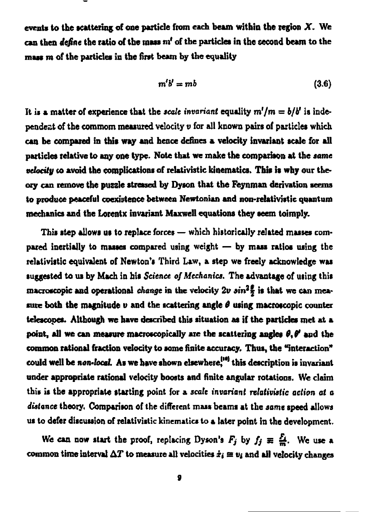events to the scattering of one particle from each beam within the region  $X$ . We can then *define* the ratio of the mass  $m<sup>t</sup>$  of the particles in the second beam to the mass m of the particles in the first beam by the equality

$$
m'b' = mb \tag{3.6}
$$

It is a matter of experience that the scale invariant equality  $m'/m = b/b'$  is inde**pendent of the commom measured velocity v for all known pairs of particles which can be compared in this way and hence demies a velocity invariant scale for all particles relative to any one type. Note that we make the comparison at the** *same velocity* **to avoid the complications of relativistic kinematics. This is why our theory can remove the puzzle stressed by Dyson that the Feynman derivation seems**  to produce peaceful coexistence between Newtonian and non-relativistic quantum **mechanics and the Lorentx invariant Maxwell equations they seem toimply.** 

**This step allows us to replace forces — which historically related muses compared inertially to masses compared using weight — by mass ratios using the**  relativistic equivalent of Newton's Third Law, a step we freely acknowledge was **suggested to us by Mach in his** *Science of Mechanics.* **The advantage of using this macroscopic and operational** *change* **in the velocity** *2v* **am<sup>8</sup> § is that we can measure both the magnitude** *v* **and the scattering angle** *0* **using macroscopic counter telescopes. Although we have described this situation as if the particles met at a point, all we can measure macroscopically are the scattering angles 0,0\* and the common rational fraction velocity to some finite accuracy. Thus, the "interaction" could well he** *nan-local* **As we have shown elsewhere!'<sup>4</sup> this description is invariant under appropriate rational velocity boosts and finite angular rotations. We claim this is the appropriate starting point for a** *scale invariant rclaiivistic action at a distance* **theory, Comparison of the different mui beams at the same speed allows us to defer discussion of relativistic kinematics to a later point in the development.** 

We can now start the proof, replacing Dyson's  $F_j$  by  $f_j \equiv \frac{F_j}{m}$ . We use a common time interval  $\Delta T$  to measure all velocities  $\dot{x}_i \equiv v_i$  and all velocity changes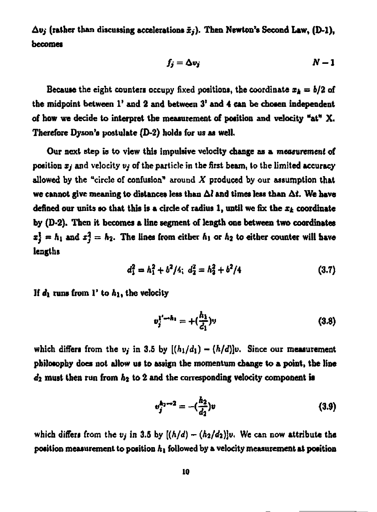$\Delta v_j$  (rather than discussing accelerations  $\bar{x}_j$ ). Then Newton's Second Law, (D-1), **becomes** 

$$
f_j = \Delta v_j \hspace{1cm} N-1
$$

Because the eight counters occupy fixed positions, the coordinate  $x_k = b/2$  of **tbe midpoint between 1' and 2 and between 3\* and 4 can be chosen independent of how we decide to interpret the measurement of position and velocity "at" X. Therefore Dyson's postulate (D-2) holds for us as well** 

**Our next step is to view this impulsive velocity change as a** *measurement* **of position** *Xj* **and velocity** *VJ* **of the particle in tbe first beam, to the limited accuracy allowed by the "circle of confusion<sup>1</sup> \* around** *X* **produced by our assumption that**  we cannot give meaning to distances less than  $\Delta l$  and times less than  $\Delta l$ . We have defined our units so that this is a circle of radius 1, until we fix the  $x_k$  coordinate **by (D-2). Then it becomes a line segment of length one between two coordinates**   $z_i^1 = h_1$  and  $z_i^2 = h_2$ . The lines from either  $h_1$  or  $h_2$  to either counter will have **lengths** 

$$
d_1^2 = h_1^2 + b^2/4; \ d_2^2 = h_2^2 + b^2/4 \qquad (3.7)
$$

If  $d_1$  runs from 1' to  $h_1$ , the velocity

$$
v_j^{1'-h_1} = +(\frac{h_1}{d_1})v \tag{3.8}
$$

which differs from the  $u_j$  in 3.5 by  $[(h_1/d_1) - (h/d)]v$ . Since our measurement **philosophy does not allow us to assign the momentum change to a point, tbe line**   $r_{2}$  must then run from  $h_{2}$  to 2 and the corresponding velocity component is

$$
v_j^{h_2 \to 2} = -(\frac{h_2}{d_2})v \tag{3.9}
$$

which differs from the  $v_j$  in 3.5 by  $[(\hbar/d) - (\hbar_2/d_2)]v$ . We can now attribute the **position measurement to position fa followed by a velocity measurement at position**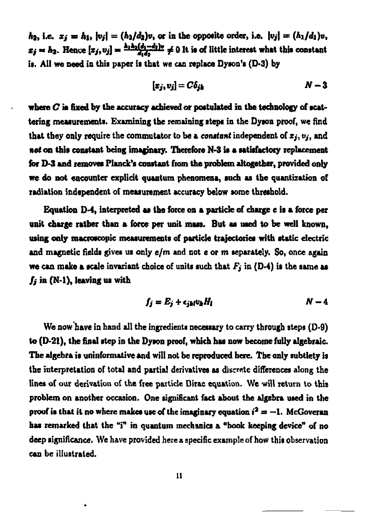$h_3$ , i.e.  $x_j = h_1$ ,  $|v_j| = (h_2/d_2)v$ , or in the opposite order, i.e.  $|v_j| = (h_1/d_1)v$ ,  $x_j = h_2$ . Hence  $[x_j, v_j] = \frac{h_1 h_2(d_1-d_1)x}{d_1d_2} \neq 0$  It is of little interest what this constant **is. All we need in this paper is that we can replace Dyson's (D-3) by** 

$$
[x_j, v_j] = C \delta_{jk} \qquad \qquad N-3
$$

where *C* is fixed by the accuracy achieved or postulated in the technology of scat**tering measurements. Examining the remaining steps in the Dyson proof, we find**  that they only require the commutator to be a *constant* independent of  $x_j, v_j$ , and not on this constant being imaginary. Therefore N-3 is a satisfactory replacement **for D-3 and removes Planck's constant fiom the problem altogether, provided only we do not encounter explicit quantum phenomena, such as the quantization of radiation independent of measurement accuracy below some threshold.** 

Equation D-4, interpreted as the force on a particle of charge e is a force per **unit charge rather than a. force per unit mass. But aa used to be well known, using only macroscopic measurements of particle trajectories with static electric and magnetic fields givet us only e/m and not e or m separately. So, once again we can make a scale invariant choice of units such that** *Fj* **in (D-4) is the same as**   $f_j$  in (N-1), leaving us with

$$
f_j = E_j + \epsilon_{jkl} v_k H_l \qquad N-4
$$

We now have in hand all the ingredients necessary to carry through steps (D-9) **to (D-21), the final step in the Dyson proof, which has now become fully algebraic. The algebra is uninformativeand will not be reproduced here. The only subtlety is the interpretation of total and partial derivatives as discrete differences along the lines of our derivation of the free particle Dirac equation. We will return to this problem on another occasion. One significant fact about the algebra used in the**  proof is that it no where makes use of the imaginary equation  $i^2 = -1$ . McGoveran has remarked that the "i" in quantum mechanics a "book keeping device" of no **deep significance. We have provided here a specific example of how this observation can be illustrated.** 

à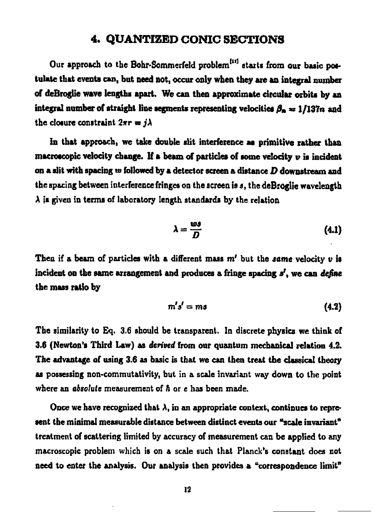## **4. QUANTIZED CONIC SECTIONS**

**Our approach to the Bohr-Sommerfeld problem'"<sup>1</sup> starts from our basic postulate that events can, but need not, occur only when they are an integral number**  of deBroglie wave lengths apart. We can then approximate circular orbits by an integral number of straight line segments representing velocities  $\beta_n = 1/137n$  and the closure constraint  $2\pi r = j\lambda$ 

**In that approach, we take double slit interference as primitive rather than macroscopic velocity change. If a beam of particles of some velocity** *v* **is incident on a slit with spacing ut followed by a detector screen a distance** *D* **downstream and the spuing between interference fringes on the screen is s, the deBroglie wavelength A is given in terms of laboratory length standards by the relation** 

$$
\lambda = \frac{\omega s}{D} \tag{4.1}
$$

**Then if a beam of particles with a different mass m' but the** *\$amt* **velocity v is incident on the same arrangement and produces a fringe spacing a\*, we can** *define*  **the mass ratio by** 

$$
m's' = ms \tag{4.2}
$$

**The similarity to Eq. 3.6 should be transparent. In discrete physics we think of 3.6 (Newton's Third Law) as** *derived* **from our quantum mechanical relation 4.2. The advantage of using 3.6 as basic is that we can then treat the classical theory as possessing non-commutativity, but in a scale invariant way down to the point where an** *absolute* **measurement of** *h* **or** *e* **has been made.** 

Once we have recognized that  $\lambda$ , in an appropriate context, continues to repre**sent the minimal measurable distance between distinct events our "scale invariant\*<sup>1</sup> treatment of scattering limited by accuracy of measurement can be applied to any macroscopic problem which is on a scale such that Planck's constant does not need to enter the analysis. Our analysis then provides a "correspondence limit"**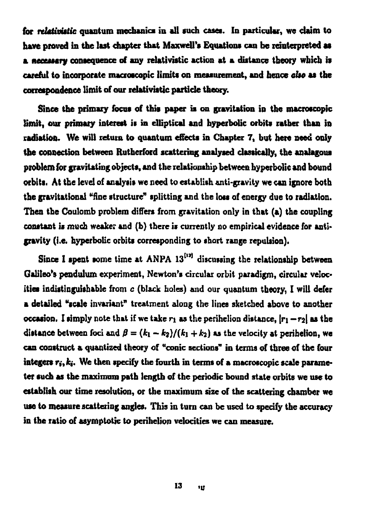for *relativiatic* quantum mechanics in all such cases. In particular, we claim to **have proved in the last chapter that Maxwell<sup>1</sup> \* Equations can he reinterpreted as a necessary consequence of any relativistic action at a distance theory which is careful to incorporate macroscopic limits on measurement, and hence** *aho* **as the correspondence limit of our relativistic particle theory.** 

**Since the primary focus of this paper ii on gravitation in the macroscopic limit, our primary interest is in elliptical and hyperbolic orbits rather than in radiation. We wilt return to quantum effects in Chapter 7, but here need only the connection between Rutherford scattering analysed classically, the analagoui problem for gravitating objects, and the relationship between hyperbolic and bound orbits. At the level of analysis we need to establish anti-gravity we can ignore both the gravitational "fine structure" splitting and the loss of energy due to radiation. Then the Coulomb problem differs from gravitation only in that (a) the coupling constant is much weaker and (b) there is currently no empirical evidence for antigravity (i.e. hyperbolic orbits corresponding to short range repulsion).** 

Since I spent some time at ANPA 13<sup>(12)</sup> discussing the relationship between **Galileo's pendulum experiment, Newton's circular orbit paradigm, circular velocities indistinguishable from c (black holes) and our quantum theory, I will defer a detailed "scale invariant" treatment along the lines sketched above to another occasion.** I simply note that if we take  $r_1$  as the perihelion distance,  $[r_1 - r_2]$  as the distance between foci and  $\beta = (k_1 - k_2)/(k_1 + k_2)$  as the velocity at perihelion, we **can construct a quantized theory of "conic sections" in terms of three of the four**  integers  $r_i, k_i$ . We then specify the fourth in terms of a macroscopic scale parame**ter such as the maximum path length of the periodic bound state orbits we use to establish our time resolution, or the maximum size of the scattering chamber we use to measure scattering angles. This in turn can be used to specify the accuracy in the ratio of asymptotic to perihelion velocities we can measure.**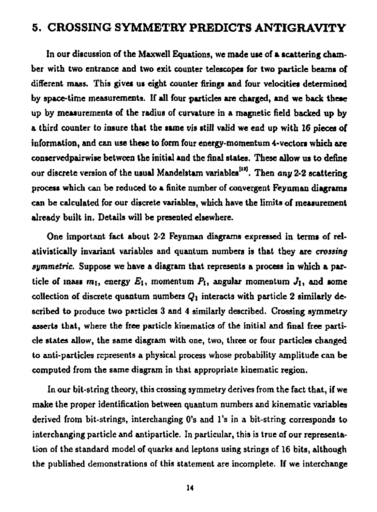## **5, CROSSING SYMMETRY PREDICTS ANTIGRAVITY**

**In our discussion of the Maxwell Equations, we made use of a scattering chamber with two entrance and two exit counter telescopes for two particle beams of different mass. This gives us eight counter firings and four velocities determined by space-time measurements. If all four particles are charged, and we back these up by measurements of the radius of curvature in a magnetic field backed up by a third counter to insure that tbe same vis still valid we end up with 16 pieces of information, and can use these to form four energy-momentum 4-vectors which are conservedpairwise between the initial and the final states. These allow us to define**  our discrete version of the usual Mandelstam variables<sup>[13]</sup>. Then any 2-2 scattering **process which can be reduced to a finite number of convergent Feynman diagrams can be calculated for our discrete variables, which have the limits of measurement already built in. Details will be presented elsewhere.** 

**One important fact about 2-2 Feynman diagrams expressed in terms of relativistically invariant variables and quantum numbers is that they are** *crossing symmetric.* **Suppose we have a diagram that represents a process in which a par**ticle of mass  $m_1$ , energy  $E_1$ , momentum  $P_1$ , angular momentum  $J_1$ , and some **collection of discrete quantum numbers** *Qi* **interacts with particle 2 similarly described to produce two particles 3 and 4 similarly described. Crossing symmetry asserts that, where the free particle kinematics of the initial and final free particle states allow, the same diagram with one, two, three or four particles changed to anti-particles represents a physical process whose probability amplitude can be computed from the same diagram in that appropriate kinematic region.** 

**In our bit-string theory, this crossing symmetry derives from the fact that, if we make the proper identification between quantum numbers and kinematic variables derived from bit-strings, interchanging O's and l's in a bit-string corresponds to interchanging particle and antiparticle. In particular, this is true of our representation of the standard model of quarks and leptons using strings of 16 bits, although the published demonstrations of this statement are incomplete. If we interchange**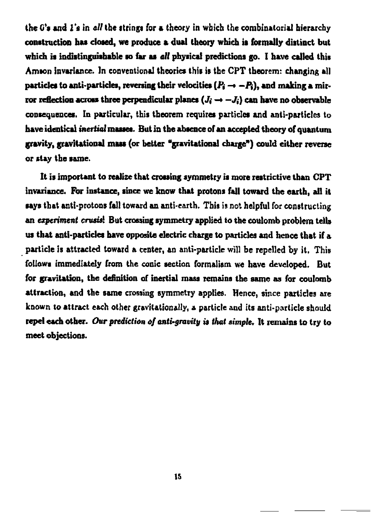the G's and I's in *all* the strings for a theory in which the combinatorial hierarchy construction has closed, we produce a dual theory which is formally distinct but **which is indistinguishable so far as** *all* **physical predictions go. I have called this Amson invariance. In conventional theories this isthe CPT theorem: changing all particles to anti-particles, reversing their velocities**  $(P_i \rightarrow -P_i)$ **, and making a mir**ror reflection across three perpendicular planes  $(J_i \rightarrow -J_i)$  can have no observable **consequences. In particular, this theorem requires particles and anti-particles to have identical ineritof masses. But in the absence of an accepted theory of quantum gravity, gravitational mass (or better "gravitational charge") could either reverse or slay the same.** 

**It is important to realize that crossing symmetry is more restrictive than CPT invariance. For instance, since we know that protons fall toward the earth, all it says that anti-protons fall toward an anti-earth. This is not helpful for constructing an** *experiment* **crusts! But crossing symmetry applied to the coulomb problem tells us that anti-particles have opposite electric charge to particles and hence that if a particle is attracted toward a center, an anti-particle will be repelled by it, This follows immediately from the conic section formalism we have developed. But for gravitation, the definition of inertial mass remains the same as for coulomb attraction, and the same crossing symmetry applies. Hence, since particles are known to attract each other grsvttationally, a particle and its anti-particle should repel each other.** *Our prediction of antugravtiy is that simple.* **It remains to try to meet objections.**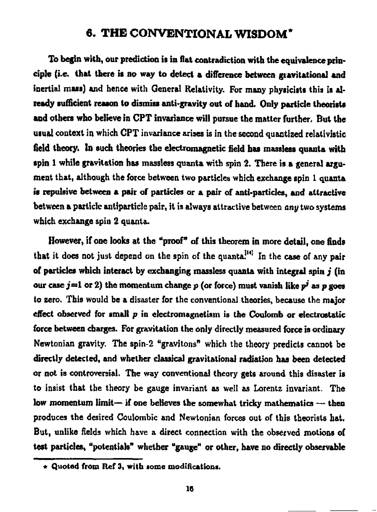# **6. THE CONVENTIONAL WISDOM\***

**To begin with, our prediction is in flat contradiction with the equivalence principle (i.e. that there it no way to detect a difference between gravitational and inertial mass) and hence with General Relativity. For many physicists this is already sufficient reason to dismiss anti-gravity out of hand. Only particle theorists and others who believe in CPT invariance will pursue the matter further. But the usual context in which CPT invariance arises is in the second quantized relativistic field theory. In such theories the electromagnetic field has massless quanta with spin 1 while gravitation has massless quanta with spin** *2.* **There is a general argument that, although the force between two particles which exchange spin 1 quanta is repulsive between a pair of particles or a pair of anti-particles, and attractive between a particle antiparticle pair, it is always attractive between** *any* **two systems which exchange spin 2 quanta.** 

However, if one looks at the "proof" of this theorem in more detail, one finds **that it does not just depend on the spin of the quanta!<sup>111</sup> In the case of any pair of particles which interact by exchanging massless quanta with integral spin** *j* **(in our case**  $j=1$  **or 2) the momentum change** p (or force) must vanish like  $p^j$  as p goes **to aero. This would be a disaster for the conventional theories, because the major effect observed for small** *p* **in etectromagnetism is the Coulomb or electrostatic force between charges. For gravitation the only directly measured force is ordinary Newtonian gravity. The spin-2 "gravitons" which the theory predicts cannot be directly detected, and whether classical gravitational radiation has been detected or not is controversial. The way conventional theory gets around this disaster is to insist that the theory be gauge invariant as well as Lorentz invariant. The low momentum limit— if one believes the somewhat tricky mathematics — then produces the desired Coulombic and Newtonian forces out of this theorists hat. But, unlike fields which have a direct connection with the observed motions of test particles, "potentials\* whether "gauge" or other, have no directly observable** 

**<sup>\*</sup> Quoted from Ref 3, with lome modification!.**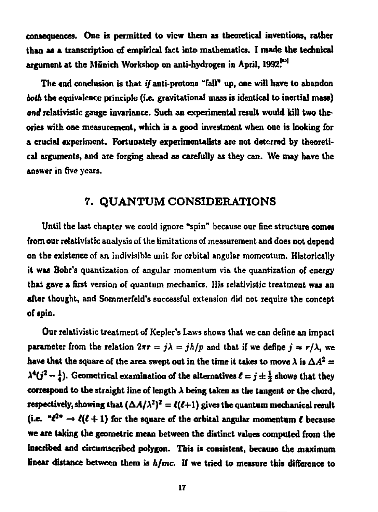**consequences. One is permitted to view them as theoretical inventions, rather than as a. transcription of empirical fact into mathematics. I made the technical**  argument at the Münich Workshop on anti-hydrogen in April, 1992.<sup>[13]</sup>

The end conclusion is that if anti-protons "fall" up, one will have to abandon both the equivalence principle (i.e. gravitational mass is identical to inertial mass) and relativistic gauge invariance. Such an experimental result would kill two the**ones with one measurement, which is a good investment when one is looking for a crucial experiment. Fortunately experimentalists arc not deterred by theoretical arguments, and** are **forging ahead as carefully as they can. We may have the answer** in five years.

## **7. QUANTUM CONSIDERATIONS**

Until the last chapter we could ignore "spin" because our fine structure **comes from our relativistic** analysis of the limitations of measurement **and does not depend on the existence** of an indivisible unit for orbital angular momentum. Historically it **was** Bohr's quantization of angular momentum via the quantization **of energy that gave a** first version of quantum mechanics. His relativistic treatment **was an after thought,** and **Sommerf**eld's successful extension did not require **the** concept **of spin.** 

**Our** relativistic treatment of Kepler's Laws shows that we **can** define **an impact parameter** from the relation  $2\pi r = j\lambda = jh/p$  and that if we define  $j = r/\lambda$ , we **have that the square of the area swept out in the time it takes to move**  $\lambda$  **is**  $\Delta A^2 =$  $\lambda^4 (j^2 - \frac{1}{4})$ . Geometrical examination of the alternatives  $\ell = j \pm \frac{1}{2}$  shows that they correspond to the straight line of length  $\lambda$  being taken as the tangent or the chord,  $\boldsymbol{r}$ espectively, showing that  $(\Delta A/\lambda^2)^2 = \ell(\ell+1)$  gives the quantum mechanical result (i.e.  $^{\mu} \ell^{2\mu} \rightarrow \ell(\ell+1)$  for the square of the orbital angular momentum  $\ell$  because **we** are **taking the geometric mean between the distinct values computed from the inscribed and circumscribed polygon. This is consistent, because the maximum linear distance between them is** *hjmc.* **If we tried to measure this difference to**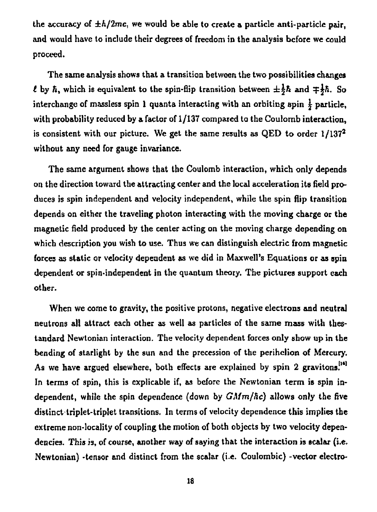the accuracy of  $\pm h/2mc$ , we would be able to create a particle anti-particle pair. and would have to include their degrees of freedom in the analysis before we could proceed.

The same analysis shows that a transition between the two possibilities changes *I* by *h*, which is equivalent to the spin-flip transition between  $\pm \frac{1}{2}\hbar$  and  $\mp \frac{1}{2}\hbar$ . So interchange of massless spin 1 quanta interacting with an orbiting spin  $\frac{1}{2}$  particle, with probability reduced by a factor of  $1/137$  compared to the Coulomb interaction, is consistent with our picture. We get the same results as QED to order  $1/137<sup>2</sup>$ without any need for gauge invariance.

The same argument shows that the Coulomb interaction, which only depends on the direction toward the attracting center and the local acceleration its field produces is spin independent and velocity independent, while the spin flip transition depends on either the traveling photon interacting with the moving charge or the magnetic field produced by the center acting on the moving charge depending on which description you wish to use. Thus we can distinguish electric from magnetic forces as static or velocity dependent as we did in Maxwell's Equations or as spin dependent or spin-independent in the quantum theory. The pictures support each other.

When we come to gravity, the positive protons, negative electrons and neutral neutrons all attract each other as well as particles of the same mass with thestandard Newtonian interaction. The velocity dependent forces only show up in the bending of starlight by the sun and the precession of the perihelion of Mercury. As we have argued elsewhere, both effects are explained by spin 2 gravitons.<sup>[14]</sup> In terms of spin, this is explicable if, as before the Newtonian term is spin independent, while the spin dependence (down by *GMm/Hc)* allows only the five distinct triplet-triplet transitions. In terms of velocity dependence this implies the extreme non-locality of coupling the motion of both objects by two velocity dependencies. This is, of course, another way of saying that the interaction is scalar (i.e. Newtonian) -tensor and distinct from the scalar (i.e. Coulombic) -vector electro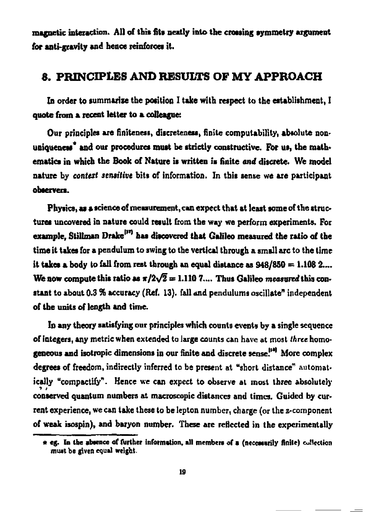**magnetic interaction. All of this fits neatly into the crossing symmetry argument for anti-gravity and hence reinforces it.** 

## **8. PRINCIPLES AND RESULTS OF MY APPROACH**

**In order to summarise the position I take with respect to the establishment, I quote from a. recent letter to a. colleague:** 

Our principles are finiteness, discreteness, finite computability, absolute nonuniqueness<sup>\*</sup> and our procedures must be strictly constructive. For us, the mathematics in which the Book of Nature is written is finite and discrete. We model **nature by** *context stmitive* **bits of information. In this sense we are participant observers.** 

**Physics, as • science of measurement, can expect that at least some of the struc**tures uncovered in nature could result from the way we perform experiments. For **example, Stillman Drake<sup>1</sup> "\* has discovered that Galileo measured the ratio of the time it takes for a pendulum to swing to the vertical through a small arc to the time it takes & body to fall from rest through an equal distance as 948/850 = 1.108 2....**  We now compute this ratio as  $\pi/2\sqrt{2} = 1.110$  7.... Thus Galileo measured this con**stant to about 0.3** *%* **accuracy (Ref, 13). fall and pendulums oscillate" independent of the units of length and time.** 

**ID any theory satisfying our principles which counts events by a single sequence of integers, any metric when extended to large counts can have at most** *three* **homogeneous and isotropic dimensions in our finite and discrete sense]" More complex degrees of freedom, indirectly inferred to be present at "short distance" automat**ically "compactify". Hence we can expect to observe at most three absolutely **conserved quantum numbers at macroscopic distances and times. Guided by current experience, we can take these to be lepton number, charge (or the z-component of weak isospin), and baryon number. These are reflected in the experimentally** 

<sup>\*</sup> eg. In the absence of further information, all members of a (necessarily finite) collection must be given equal weight.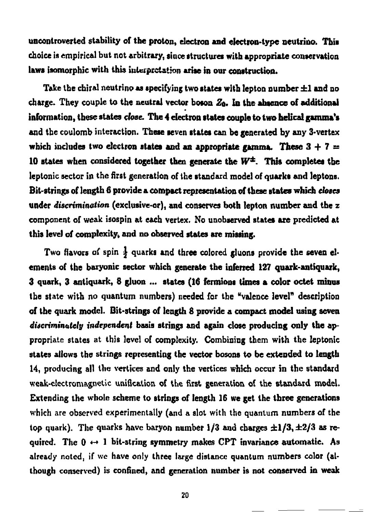**uncontroverted stability of the proton, electron and electron-type neutrino. This choice is empirical but not arbitrary, since structures with appropriate conservation laws isomorphic with this interpretation arise in our construction.** 

Take the chiral neutrino as specifying two states with lepton number  $\pm 1$  and no charge. They couple to the neutral vector boson  $Z_0$ . In the absence of additional **information, these states** *dost.* **The 4 electron states couple to two helical gamma's and the coulomb interaction. These seven states can be generated by any 3-vertex**  which includes two electron states and an appropriate gamma. These  $3 + 7 =$ **10 states when considered together then generate the** *W<sup>±</sup> .* **This completes the leptonic sector in the first generation of the standard model of quarks and leptons. Bit-strings of length 6 provide a compact representation of these states which** *closes*  **under** *discrimination* **(exclusive-or), and conserves both lepton number and the z component of weak isospin at each vertex, No unobserved states are predicted at this level of complexity, and no observed states are missing.** 

Two flavors of spin  $\frac{1}{2}$  quarks and three colored gluons provide the seven elements of the baryonic sector which generate the inferred 127 quark-antiquark, **3 quark, 3 antiquark, 8 gluon ... states (16 fermions times a color octet minus the state with no quantum numbers) needed for the "valence level" description of the quark model. Bit-strings of length 8 provide a compact model using seven**  *discriminate!!/ independent* **basis strings and again close producing only the appropriate states at this level of complexity. Combining them with the leptonic states allows the strings representing the vector bosons to be extended to length 14, producing all the vertices and only the vertices which occur in the standard wcak-clectromagnetic unification of the first generation of the standard model. Extending the whole scheme to strings of length 16 we get the three generations which are observed experimentally (and a slot with the quantum numbers of the top quark). The quarks have baryon number 1/3 and charges ±1/3, ±2/3 as re**quired. The  $0 \leftrightarrow 1$  bit-string symmetry makes CPT invariance automatic. As **already noted, if we have only three large distance quantum numbers color (although conserved) is confined, and generation number is not conserved in weak**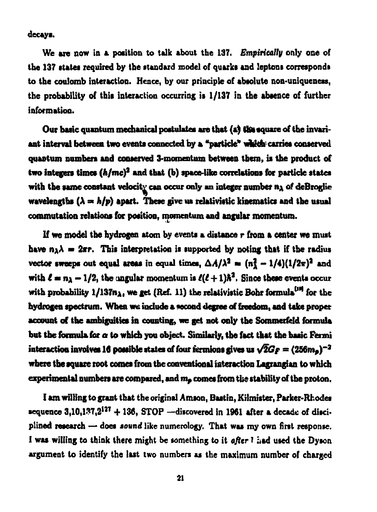**decays.** 

**We are now In a position to talk about the 137.** *Empirically* **only one of**  the 137 states required by the standard model of quarks and leptons corresponds **to the coulomb interaction. Hence, by our principle of absolute non-uniqueness, the probability of this interaction occurring is 1/137 in the absence of further information.** 

Our basic quantum mechanical postulates are that (a) the square of the invari**ant interval between two events connected by a "particle<sup>1</sup> ' wbjufc carries conserved quantum numbers and conserved ^momentum between them, is the product of two integers times (n/mc)<sup>3</sup> and that (b) space-like correlations lor particle states**  with the same constant velocity can occur only an integer number  $n<sub>\lambda</sub>$  of deBroglie wavelengths  $(\lambda = h/p)$  apart. These give us relativistic kinematics and the usual **commutation relations for position, momentum and angular momentum.** 

**If we model the hydrogen atom by events a distance r from a center we must**  have  $n_{\lambda} \lambda = 2\pi r$ . This interpretation is supported by noting that if the radius **vector sweeps out equal areas in equal times,**  $\Delta A/\lambda^2 = (n_1^2 - 1/4)(1/2\pi)^2$  **and** with  $\ell = n_{\lambda} - 1/2$ , the angular momentum is  $\ell(\ell+1)\hbar^2$ . Since these events occur with probability  $1/137n_{\lambda}$ , we get (Ref. 11) the relativistic Bohr formula<sup>01</sup> for the **hydrogen spectrum. When we include a second degree of freedom, and take proper acoount of the ambiguities in counting, we get not only the Sommerfeld formula**  but the formula for  $\alpha$  to which you object. Similarly, the fact that the basic Fermi interaction involves 16 possible states of four fermions gives us  $\sqrt{2}G_F = (256m_e)^{-2}$ **where the square root comes from the conventional interaction Lagrangtan to which experimental numbers are compared, and m<sup>F</sup> comet from the stability of the proton.** 

I am willing to grant that the original Amson, Bastin, Kilmister, Parker-Rhodes sequence 3,10,137,2<sup>127</sup> + 136, STOP - discovered in 1961 after a decade of disci**plined research — does sound like numerology. That was my own first response, I was willing to think there might be something to it** *after* **1 ;iad used the Dyson argument to identify the last two numbers u the maximum number of charged**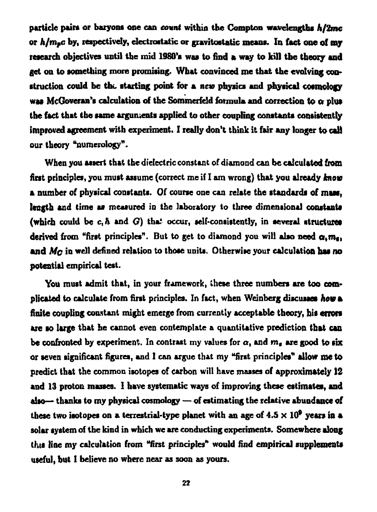**particle pain or baryona one can** *count* **within the Gompton wavelengths** *h/2mc*  **or** *kfmfC* **by, respectively, electroitatic or gravitostatic meant. In fact one of my research objectives until the mid 1980's was to find a way to kill the theory and**  get on to something more promising. What convinced me that the evolving con-**•traction could be tk. starting point for a. new physics and physical cosmology was McGoveran't calculation of the Sommerfeld formula and correction to** *a* **plus the fact that the same arguments applied to other coupling constants consistently improved agreement with experiment. I really don't think it fair any longer to call our theory "numerology".** 

**When you assert that the dielectric constant of diamond can be calculated from first principles, you must assume (correct me if I am wrong) that you already** *know*  **a number of physical constants. Of course one can relate the standards of mass, length and time as measured in the laboratory lo three dimensional constants**  (which could be  $c, \hbar$  and  $G$ ) that occur, self-consistently, in several structures derived from "first principles". But to get to diamond you will also need  $\alpha, m_{\alpha}$ , **and** *Mc* **in well defined relation to those units. Otherwise your calculation has no potential empirical test.** 

You must admit that, in your framework, these three numbers are too com**plicated to calculate from first principles. In fact, when Weinberg discusses new a finite coupling constant might emerge from currently acceptable theory, his errors are so large that he cannot even contemplate a quantitative prediction that can**  be confronted by experiment. In contrast my values for  $\alpha$ , and  $m_{\epsilon}$  are good to six **or seven significant figures, and I can argue that my "first principles" allow me to predict that the common isotopes of carbon will have masses of approximately 12 and 13 proton masses. 1 have systematic ways of improving these estimates, and also— thanks to my physical cosmology — of estimating the relative abundance of**  these two isotopes on a terrestrial-type planet with an age of  $4.5 \times 10^9$  years in a **solar system of the kind in which we are conducting experiments. Somewhere along this line my calculation from "first principles" would find empirical supplements useful, but I believe no where near as soon as yours.**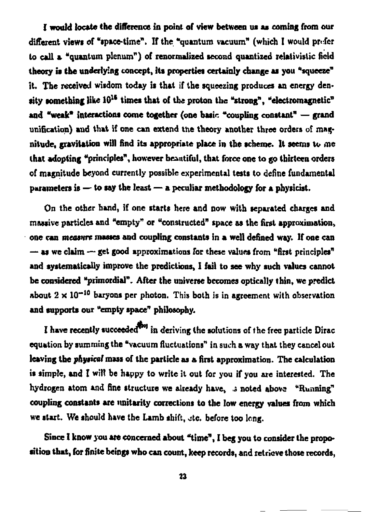**I would locate the difference in point of view between us as coming from our**  different views of "space-time". If the "quantum vacuum" (which I would prefer to call a "quantum plenum") of renormalized second quantized relativistic field **theory is the underlying concept, its properties certainly change as you "squeeze<sup>11</sup> it. The received wisdom today is that if the squeezing produces an energy den**sity something like  $10^{16}$  times that of the proton the "strong", "electromagnetic" **and "weak\* interactions come together (one basic "coupling constant" — grand**  unification) and that if one can extend the theory another three orders of mag**nitude, gravitation will find its appropriate place in the scheme. It seems to me that adopting "principles", however beautiful, that force one to go thirteen orders of magnitude beyond currently possible experimental tests to define fundamental parameters is — to say the least — a peculiar methodology for a physicist.** 

**On the other hand, if one starts here and now with separated charges and massive particles and "empty" or "constructed" space as the first approximation, one can** *tncamrt* **masses and coupling constants in a well defined way. If one can — as we claim — get good approximations for these values from "first principles" and systematically improve the predictions, I fail to see why such values cannot be considered "primordial". After the universe becomes optically thin, we predict about 2 x 10~<sup>1</sup> <sup>0</sup> baryons per photon. This both is in agreement with observation and supports our "empty space" philosophy,** 

**I have recently succeeded^ in deriving the solutions of the free particle Dirac equation by summing the "vacuum fluctuations" in such a way that they cancel out leaving the** *phyiicat* **mass of the particle as a first approximation. The calculation is simple, and I will be happy to write it out for you if you are interested. The**  hydrogen atom and fine structure we already have, s noted above "Running" **coupling constants are unitarity corrections to the low energy values from which we start. We should have the Lamb shift, jtc. before too long.** 

**Since I know you are concerned about "time", I beg you to consider the proposition that, for finite beings who can count, keep records, and retrieve those records,**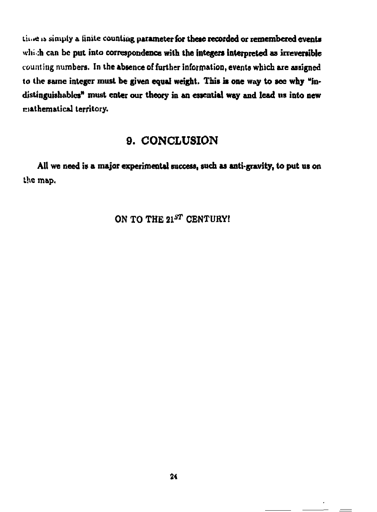time is simply a finite counting parameter for these recorded or remembered events which can be put into correspondence with the integers interpreted as irreversible **count ing numbers. In the absence of further information, events which are assigned to the same integer must be given equal weight. This is one way to see why "indistinguishablcs" must enter our theory in an essential way and lead us into new mathematical territory.** 

## **9. CONCLUSION**

**All we need is a major experimental success, such as anti-gravity, to put us on the map,** 

## **ON TO THE 21<sup>57</sup> CENTURY!**

 $\qquad \qquad =$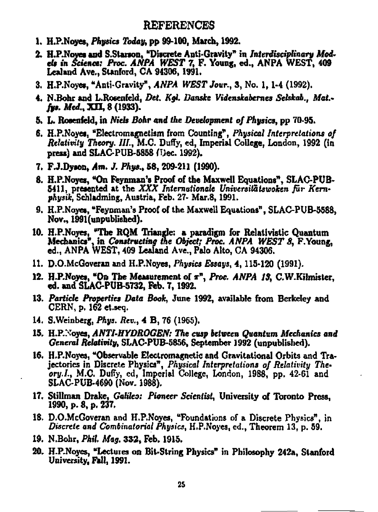## **REFERENCES**

- 1. H.P.Noyes, *Physics Today,* pp 99-100, Much, 1992.
- 2. H.P.Noyes **and** S.Slarson, "Discrete Anti-Gravity" in *Interdisciplinary Mod*eft *in Science: Proc. ANPA WEST* 7, F. Young, ed., ANPA WEST, 409 Lealand Ave., Stanford, CA 94306,1991.
- 3. H.P.Noyes, "Anti-Gravity", *ANPA WEST Jour.,* 3, No. 1,1-4 (1992).
- 4. N.Bohr and L.Rosenfeld, *Det, KoL Danske Videnskabernes Selskab., Matfys. Med.*, **XII**, 8 (1933).
- 5. L. Roaenfeld, in *Niels Bohr and the Development of Physics,* pp 70-95.
- 6. H.P.Noyea, "Electromagnetism from Counting", *Physical Interpretations of Relativity Theory. III.,* M.C. Duffy, ed, Imperial College, London, 1992 (in press) and SLAC-PUB-5858 (Dec. 1992).
- 7. FJ.Dy«H>, *Am. J. Phys\** 58,209-211 (1990).
- 8. H.P.Noyes, "On Feynman's Proof of the Maxwell Equations", SLAC-PUB-5411, presented at the *XXX Internationale Univcrsitatswoken fur Kernphysik,* Schladming, Austria, Feb. 27- Mar.8,1991.
- 9. H.P.Noyet, "Feynman's Proof of the Maxwell Equations", SLAC-PUB-5588, Nov., 1991(unpublished).
- 10. H.P.Noyes, "The RQM Triangle: a paradigm for Relativistic Quantum Mechanics" in *Constructing the Object,- Proc. ANPA WEST S,* F.Young, ed., ANPA WEST, 409 Leafand Ave., Palo Alto, CA 94306.
- 11. D.O.McGoveran and H.P.Noyes, *Physics Essays,* 4,115-120 (1991).
- 12. H.P.Novet, "On The Measurement of x", *Proc. ANPA IS,* C.W.Kilmistcr, ed. and SLAC-PUB-5732, Feb. 7,1992.
- 13. *Particle Properties Data Book,* June 1992, available from Berkeley and CERN, p, 162 et.seq.
- 14. S.Weinberg, *Phys. Rev., 4* B, 76 (1965).
- 15. H.P.Xoyea, *ANTI-HYDROGEN; The cusp between* Quantum *Mechanics and General Relativity,* SLAC-PUB-5856, September 1992 (unpublished).
- 16. H.P.Noyes, "Observable Electromagnetic and Gravitational Orbits and Trajectories in Discrete Physics", *Physical Interpretations of Relativity The~ ory.L,* M.C. Duffy, ed, Imperial College, London, 1988, pp. 42-G1 and SLAC-PUB-4690 (Nov. 1988).
- 17. Stillman Drake, *Galileo: Pioneer Scientist,* University of Toronto Press, 1990, p. 8, p. 237,
- 18. D.O.McGoveran and H.P.Noyes, "Foundations of a Discrete Physics", in *Discrete and Combinatorial Physics,* H.P.Noyes, ed., Theorem 13, p. 59.
- 19. N.Bohr, *Phil. Mag.* 332, Feb. 1915.
- 20. H.RNoyes, "Lectures on Bit-String Physics" in Philosophy 242a, Stanford University, Fall, 1991.